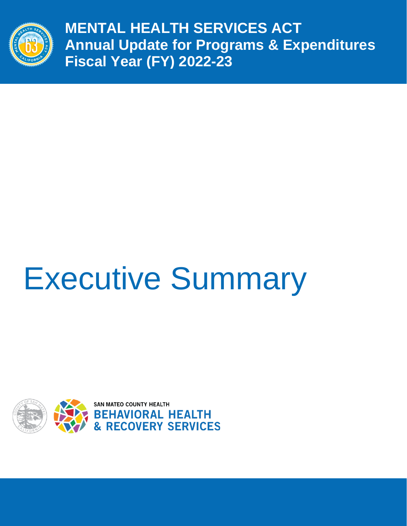

**MENTAL HEALTH SERVICES ACT Annual Update for Programs & Expenditures Fiscal Year (FY) 2022-23**

# Executive Summary

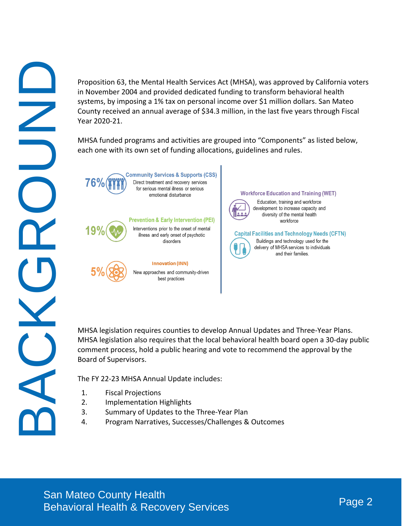Proposition 63, the Mental Health Services Act (MHSA), was approved by California voters in November 2004 and provided dedicated funding to transform behavioral health systems, by imposing a 1% tax on personal income over \$1 million dollars. San Mateo County received an annual average of \$34.3 million, in the last five years through Fiscal Year 2020-21. Proposition 63, the Mental Health Services Act (MHSA), was opereed by California velters<br>
m Menche and provided deficiented forming to transform behavioral Health<br>
County recoved in annual every given by car in milion dela

MHSA funded programs and activities are grouped into "Components" as listed below, each one with its own set of funding allocations, guidelines and rules.











MHSA legislation requires counties to develop Annual Updates and Three-Year Plans. MHSA legislation also requires that the local behavioral health board open a 30-day public comment process, hold a public hearing and vote to recommend the approval by the Board of Supervisors.

The FY 22-23 MHSA Annual Update includes:

- 1. Fiscal Projections
- 2. Implementation Highlights
- 3. Summary of Updates to the Three-Year Plan
- 4. Program Narratives, Successes/Challenges & Outcomes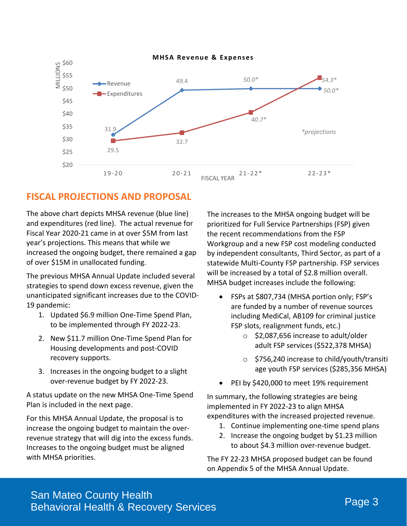

### **FISCAL PROJECTIONS AND PROPOSAL**

The above chart depicts MHSA revenue (blue line) and expenditures (red line). The actual revenue for Fiscal Year 2020-21 came in at over \$5M from last year's projections. This means that while we increased the ongoing budget, there remained a gap of over \$15M in unallocated funding.

The previous MHSA Annual Update included several strategies to spend down excess revenue, given the unanticipated significant increases due to the COVID-19 pandemic:

- 1. Updated \$6.9 million One-Time Spend Plan, to be implemented through FY 2022-23.
- 2. New \$11.7 million One-Time Spend Plan for Housing developments and post-COVID recovery supports.
- 3. Increases in the ongoing budget to a slight over-revenue budget by FY 2022-23.

A status update on the new MHSA One-Time Spend Plan is included in the next page.

For this MHSA Annual Update, the proposal is to increase the ongoing budget to maintain the overrevenue strategy that will dig into the excess funds. Increases to the ongoing budget must be aligned with MHSA priorities.

The increases to the MHSA ongoing budget will be prioritized for Full Service Partnerships (FSP) given the recent recommendations from the FSP Workgroup and a new FSP cost modeling conducted by independent consultants, Third Sector, as part of a statewide Multi-County FSP partnership. FSP services will be increased by a total of \$2.8 million overall. MHSA budget increases include the following:

- FSPs at \$807,734 (MHSA portion only; FSP's are funded by a number of revenue sources including MediCal, AB109 for criminal justice FSP slots, realignment funds, etc.)
	- o \$2,087,656 increase to adult/older adult FSP services (\$522,378 MHSA)
	- $\circ$  \$756,240 increase to child/youth/transitionage youth FSP services (\$285,356 MHSA)
- PEI by \$420,000 to meet 19% requirement

In summary, the following strategies are being implemented in FY 2022-23 to align MHSA expenditures with the increased projected revenue.

- 1. Continue implementing one-time spend plans
- 2. Increase the ongoing budget by \$1.23 million to about \$4.3 million over-revenue budget.

The FY 22-23 MHSA proposed budget can be found on Appendix 5 of the MHSA Annual Update.

### San Mateo County Health Behavioral Health & Recovery Services Page 3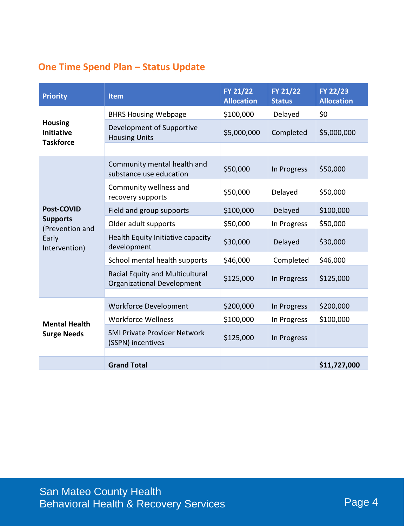## **One Time Spend Plan – Status Update**

| <b>Priority</b>                                                                   | <b>Item</b>                                                          | FY 21/22<br><b>Allocation</b> | FY 21/22<br><b>Status</b> | FY 22/23<br><b>Allocation</b> |
|-----------------------------------------------------------------------------------|----------------------------------------------------------------------|-------------------------------|---------------------------|-------------------------------|
| <b>Housing</b><br><b>Initiative</b><br><b>Taskforce</b>                           | <b>BHRS Housing Webpage</b>                                          | \$100,000                     | Delayed                   | \$0                           |
|                                                                                   | Development of Supportive<br><b>Housing Units</b>                    | \$5,000,000                   | Completed                 | \$5,000,000                   |
|                                                                                   |                                                                      |                               |                           |                               |
| <b>Post-COVID</b><br><b>Supports</b><br>(Prevention and<br>Early<br>Intervention) | Community mental health and<br>substance use education               | \$50,000                      | In Progress               | \$50,000                      |
|                                                                                   | Community wellness and<br>recovery supports                          | \$50,000                      | Delayed                   | \$50,000                      |
|                                                                                   | Field and group supports                                             | \$100,000                     | Delayed                   | \$100,000                     |
|                                                                                   | Older adult supports                                                 | \$50,000                      | In Progress               | \$50,000                      |
|                                                                                   | Health Equity Initiative capacity<br>development                     | \$30,000                      | Delayed                   | \$30,000                      |
|                                                                                   | School mental health supports                                        | \$46,000                      | Completed                 | \$46,000                      |
|                                                                                   | Racial Equity and Multicultural<br><b>Organizational Development</b> | \$125,000                     | In Progress               | \$125,000                     |
|                                                                                   |                                                                      |                               |                           |                               |
| <b>Mental Health</b><br><b>Surge Needs</b>                                        | <b>Workforce Development</b>                                         | \$200,000                     | In Progress               | \$200,000                     |
|                                                                                   | <b>Workforce Wellness</b>                                            | \$100,000                     | In Progress               | \$100,000                     |
|                                                                                   | <b>SMI Private Provider Network</b><br>(SSPN) incentives             | \$125,000                     | In Progress               |                               |
|                                                                                   |                                                                      |                               |                           |                               |
|                                                                                   | <b>Grand Total</b>                                                   |                               |                           | \$11,727,000                  |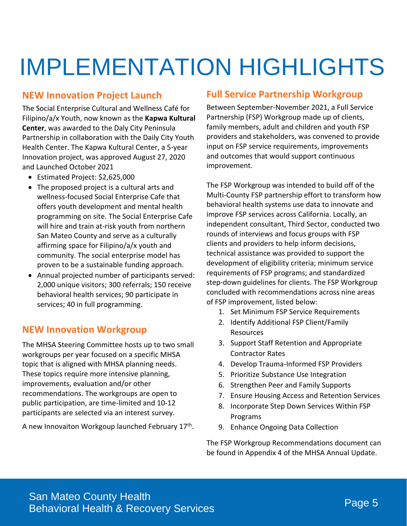## IMPLEMENTATION HIGHLIGHTS

### **NEW Innovation Project Launch**

The Social Enterprise Cultural and Wellness Café for Filipino/a/x Youth, now known as the **Kapwa Kultural Center**, was awarded to the Daly City Peninsula Partnership in collaboration with the Daily City Youth Health Center. The Kapwa Kultural Center, a 5-year Innovation project, was approved August 27, 2020 and Launched October 2021

- Estimated Project: \$2,625,000
- The proposed project is a cultural arts and wellness-focused Social Enterprise Cafe that offers youth development and mental health programming on site. The Social Enterprise Cafe will hire and train at-risk youth from northern San Mateo County and serve as a culturally affirming space for Filipino/a/x youth and community. The social enterprise model has proven to be a sustainable funding approach.
- Annual projected number of participants served: 2,000 unique visitors; 300 referrals; 150 receive behavioral health services; 90 participate in services; 40 in full programming.

### **NEW Innovation Workgroup**

The MHSA Steering Committee hosts up to two small workgroups per year focused on a specific MHSA topic that is aligned with MHSA planning needs. These topics require more intensive planning, improvements, evaluation and/or other recommendations. The workgroups are open to public participation, are time-limited and 10-12 participants are selected via an interest survey.

A new Innovaiton Workgoup launched February 17<sup>th</sup>.

### **Full Service Partnership Workgroup**

Between September-November 2021, a Full Service Partnership (FSP) Workgroup made up of clients, family members, adult and children and youth FSP providers and stakeholders, was convened to provide input on FSP service requirements, improvements and outcomes that would support continuous improvement.

The FSP Workgroup was intended to build off of the Multi‐County FSP partnership effort to transform how behavioral health systems use data to innovate and improve FSP services across California. Locally, an independent consultant, Third Sector, conducted two rounds of interviews and focus groups with FSP clients and providers to help inform decisions, technical assistance was provided to support the development of eligibility criteria; minimum service requirements of FSP programs; and standardized step-down guidelines for clients. The FSP Workgroup concluded with recommendations across nine areas of FSP improvement, listed below:

- 1. Set Minimum FSP Service Requirements
- 2. Identify Additional FSP Client/Family Resources
- 3. Support Staff Retention and Appropriate Contractor Rates
- 4. Develop Trauma-Informed FSP Providers
- 5. Prioritize Substance Use Integration
- 6. Strengthen Peer and Family Supports
- 7. Ensure Housing Access and Retention Services
- 8. Incorporate Step Down Services Within FSP Programs
- 9. Enhance Ongoing Data Collection

The FSP Workgroup Recommendations document can be found in Appendix 4 of the MHSA Annual Update.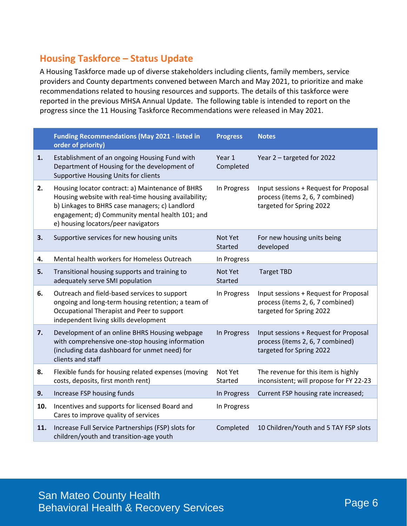### **Housing Taskforce – Status Update**

A Housing Taskforce made up of diverse stakeholders including clients, family members, service providers and County departments convened between March and May 2021, to prioritize and make recommendations related to housing resources and supports. The details of this taskforce were reported in the previous MHSA Annual Update. The following table is intended to report on the progress since the 11 Housing Taskforce Recommendations were released in May 2021.

|     | <b>Funding Recommendations (May 2021 - listed in</b><br>order of priority)                                                                                                                                                                           | <b>Progress</b>           | <b>Notes</b>                                                                                          |
|-----|------------------------------------------------------------------------------------------------------------------------------------------------------------------------------------------------------------------------------------------------------|---------------------------|-------------------------------------------------------------------------------------------------------|
| 1.  | Establishment of an ongoing Housing Fund with<br>Department of Housing for the development of<br>Supportive Housing Units for clients                                                                                                                | Year 1<br>Completed       | Year 2 - targeted for 2022                                                                            |
| 2.  | Housing locator contract: a) Maintenance of BHRS<br>Housing website with real-time housing availability;<br>b) Linkages to BHRS case managers; c) Landlord<br>engagement; d) Community mental health 101; and<br>e) housing locators/peer navigators | In Progress               | Input sessions + Request for Proposal<br>process (items 2, 6, 7 combined)<br>targeted for Spring 2022 |
| 3.  | Supportive services for new housing units                                                                                                                                                                                                            | Not Yet<br><b>Started</b> | For new housing units being<br>developed                                                              |
| 4.  | Mental health workers for Homeless Outreach                                                                                                                                                                                                          | In Progress               |                                                                                                       |
| 5.  | Transitional housing supports and training to<br>adequately serve SMI population                                                                                                                                                                     | Not Yet<br>Started        | <b>Target TBD</b>                                                                                     |
| 6.  | Outreach and field-based services to support<br>ongoing and long-term housing retention; a team of<br>Occupational Therapist and Peer to support<br>independent living skills development                                                            | In Progress               | Input sessions + Request for Proposal<br>process (items 2, 6, 7 combined)<br>targeted for Spring 2022 |
| 7.  | Development of an online BHRS Housing webpage<br>with comprehensive one-stop housing information<br>(including data dashboard for unmet need) for<br>clients and staff                                                                               | In Progress               | Input sessions + Request for Proposal<br>process (items 2, 6, 7 combined)<br>targeted for Spring 2022 |
| 8.  | Flexible funds for housing related expenses (moving<br>costs, deposits, first month rent)                                                                                                                                                            | Not Yet<br>Started        | The revenue for this item is highly<br>inconsistent; will propose for FY 22-23                        |
| 9.  | Increase FSP housing funds                                                                                                                                                                                                                           | In Progress               | Current FSP housing rate increased;                                                                   |
| 10. | Incentives and supports for licensed Board and<br>Cares to improve quality of services                                                                                                                                                               | In Progress               |                                                                                                       |
| 11. | Increase Full Service Partnerships (FSP) slots for<br>children/youth and transition-age youth                                                                                                                                                        | Completed                 | 10 Children/Youth and 5 TAY FSP slots                                                                 |